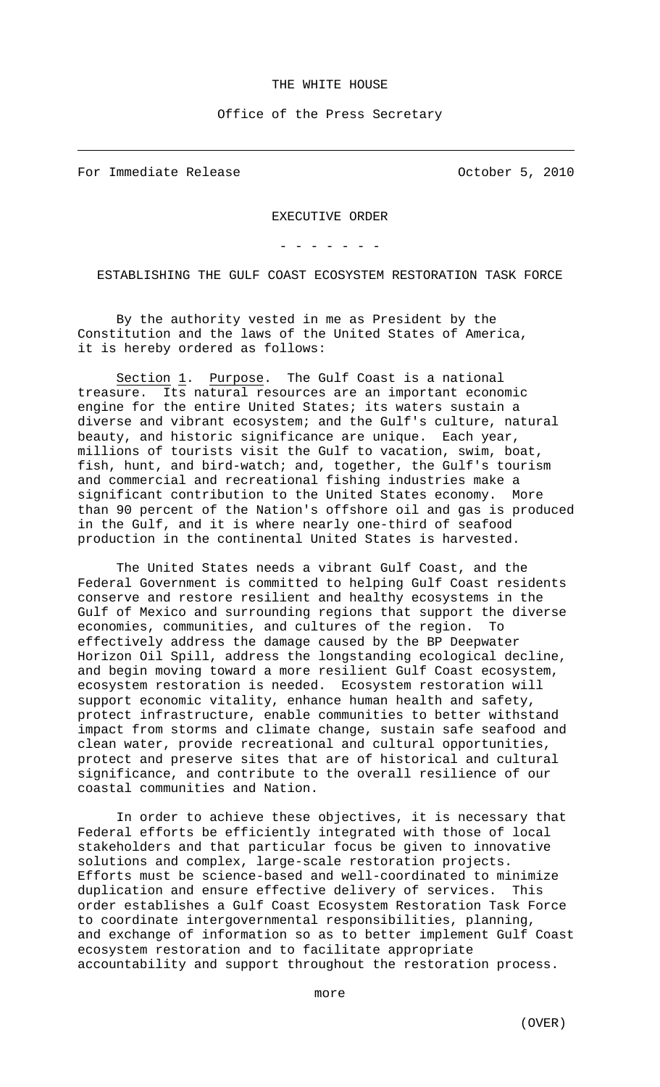## THE WHITE HOUSE

Office of the Press Secretary

For Immediate Release **Containers** October 5, 2010

 $\overline{\phantom{0}}$ 

EXECUTIVE ORDER

- - - - - - -

ESTABLISHING THE GULF COAST ECOSYSTEM RESTORATION TASK FORCE

By the authority vested in me as President by the Constitution and the laws of the United States of America, it is hereby ordered as follows:

Section 1. Purpose. The Gulf Coast is a national treasure. Its natural resources are an important economic engine for the entire United States; its waters sustain a diverse and vibrant ecosystem; and the Gulf's culture, natural beauty, and historic significance are unique. Each year, millions of tourists visit the Gulf to vacation, swim, boat, fish, hunt, and bird-watch; and, together, the Gulf's tourism and commercial and recreational fishing industries make a significant contribution to the United States economy. More than 90 percent of the Nation's offshore oil and gas is produced in the Gulf, and it is where nearly one-third of seafood production in the continental United States is harvested.

The United States needs a vibrant Gulf Coast, and the Federal Government is committed to helping Gulf Coast residents conserve and restore resilient and healthy ecosystems in the Gulf of Mexico and surrounding regions that support the diverse economies, communities, and cultures of the region. To effectively address the damage caused by the BP Deepwater Horizon Oil Spill, address the longstanding ecological decline, and begin moving toward a more resilient Gulf Coast ecosystem, ecosystem restoration is needed. Ecosystem restoration will support economic vitality, enhance human health and safety, protect infrastructure, enable communities to better withstand impact from storms and climate change, sustain safe seafood and clean water, provide recreational and cultural opportunities, protect and preserve sites that are of historical and cultural significance, and contribute to the overall resilience of our coastal communities and Nation.

In order to achieve these objectives, it is necessary that Federal efforts be efficiently integrated with those of local stakeholders and that particular focus be given to innovative solutions and complex, large-scale restoration projects. Efforts must be science-based and well-coordinated to minimize duplication and ensure effective delivery of services. This order establishes a Gulf Coast Ecosystem Restoration Task Force to coordinate intergovernmental responsibilities, planning, and exchange of information so as to better implement Gulf Coast ecosystem restoration and to facilitate appropriate accountability and support throughout the restoration process.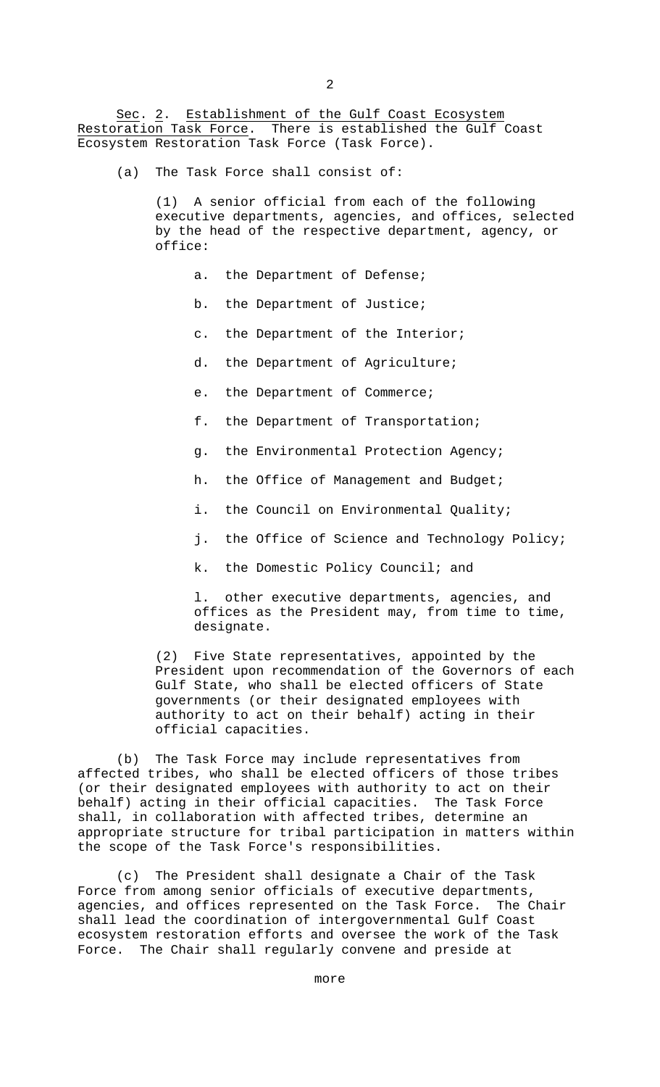Sec. 2. Establishment of the Gulf Coast Ecosystem Restoration Task Force. There is established the Gulf Coast Ecosystem Restoration Task Force (Task Force).

(a) The Task Force shall consist of:

(1) A senior official from each of the following executive departments, agencies, and offices, selected by the head of the respective department, agency, or office:

- a. the Department of Defense;
- b. the Department of Justice;
- c. the Department of the Interior;
- d. the Department of Agriculture;
- e. the Department of Commerce;
- f. the Department of Transportation;
- g. the Environmental Protection Agency;
- h. the Office of Management and Budget;
- i. the Council on Environmental Quality;
- j. the Office of Science and Technology Policy;
- k. the Domestic Policy Council; and

l. other executive departments, agencies, and offices as the President may, from time to time, designate.

(2) Five State representatives, appointed by the President upon recommendation of the Governors of each Gulf State, who shall be elected officers of State governments (or their designated employees with authority to act on their behalf) acting in their official capacities.

(b) The Task Force may include representatives from affected tribes, who shall be elected officers of those tribes (or their designated employees with authority to act on their behalf) acting in their official capacities. The Task Force shall, in collaboration with affected tribes, determine an appropriate structure for tribal participation in matters within the scope of the Task Force's responsibilities.

(c) The President shall designate a Chair of the Task Force from among senior officials of executive departments, agencies, and offices represented on the Task Force. The Chair shall lead the coordination of intergovernmental Gulf Coast ecosystem restoration efforts and oversee the work of the Task Force. The Chair shall regularly convene and preside at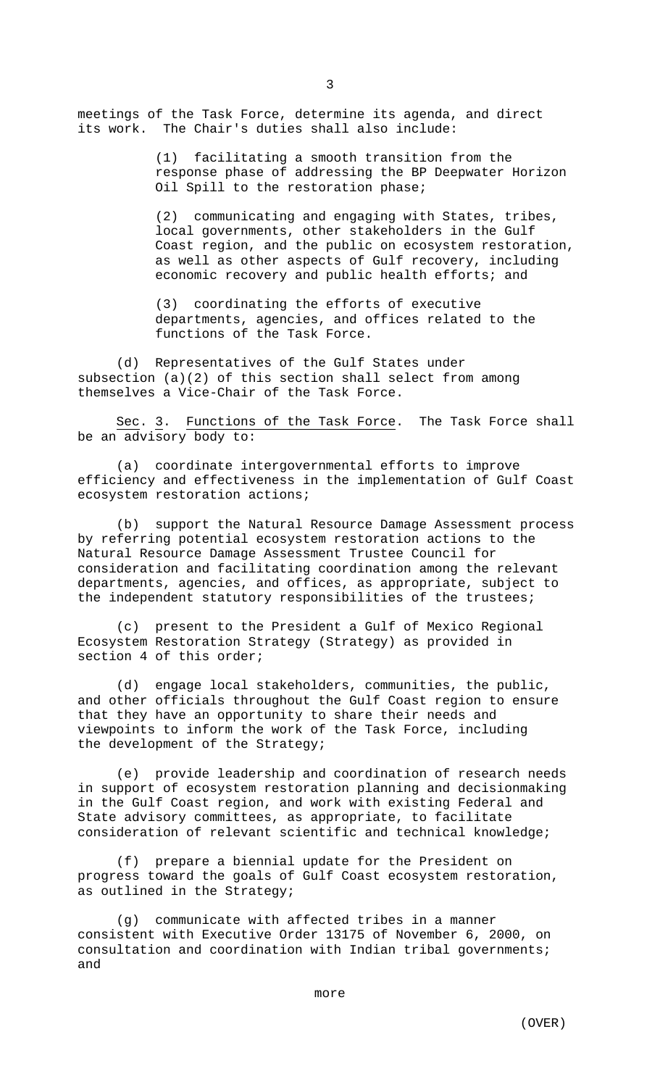meetings of the Task Force, determine its agenda, and direct its work. The Chair's duties shall also include:

> (1) facilitating a smooth transition from the response phase of addressing the BP Deepwater Horizon Oil Spill to the restoration phase;

> (2) communicating and engaging with States, tribes, local governments, other stakeholders in the Gulf Coast region, and the public on ecosystem restoration, as well as other aspects of Gulf recovery, including economic recovery and public health efforts; and

(3) coordinating the efforts of executive departments, agencies, and offices related to the functions of the Task Force.

(d) Representatives of the Gulf States under subsection (a)(2) of this section shall select from among themselves a Vice-Chair of the Task Force.

Sec. 3. Functions of the Task Force. The Task Force shall be an advisory body to:

(a) coordinate intergovernmental efforts to improve efficiency and effectiveness in the implementation of Gulf Coast ecosystem restoration actions;

(b) support the Natural Resource Damage Assessment process by referring potential ecosystem restoration actions to the Natural Resource Damage Assessment Trustee Council for consideration and facilitating coordination among the relevant departments, agencies, and offices, as appropriate, subject to the independent statutory responsibilities of the trustees;

(c) present to the President a Gulf of Mexico Regional Ecosystem Restoration Strategy (Strategy) as provided in section 4 of this order;

(d) engage local stakeholders, communities, the public, and other officials throughout the Gulf Coast region to ensure that they have an opportunity to share their needs and viewpoints to inform the work of the Task Force, including the development of the Strategy;

(e) provide leadership and coordination of research needs in support of ecosystem restoration planning and decisionmaking in the Gulf Coast region, and work with existing Federal and State advisory committees, as appropriate, to facilitate consideration of relevant scientific and technical knowledge;

(f) prepare a biennial update for the President on progress toward the goals of Gulf Coast ecosystem restoration, as outlined in the Strategy;

(g) communicate with affected tribes in a manner consistent with Executive Order 13175 of November 6, 2000, on consultation and coordination with Indian tribal governments; and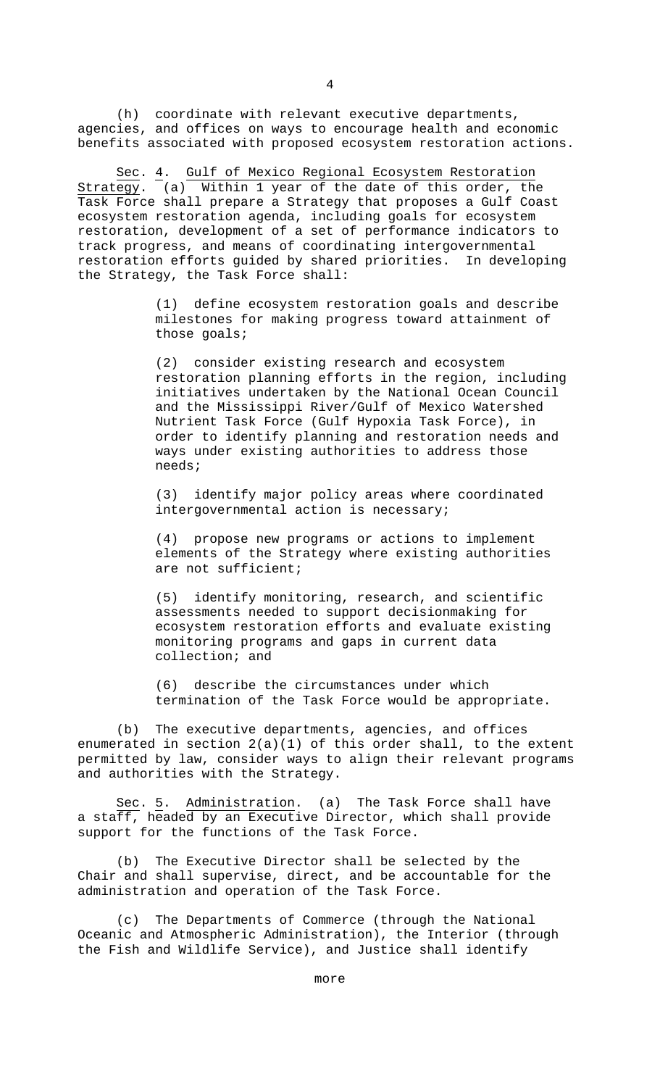(h) coordinate with relevant executive departments, agencies, and offices on ways to encourage health and economic benefits associated with proposed ecosystem restoration actions.

Sec. 4. Gulf of Mexico Regional Ecosystem Restoration Strategy. (a) Within 1 year of the date of this order, the Task Force shall prepare a Strategy that proposes a Gulf Coast ecosystem restoration agenda, including goals for ecosystem restoration, development of a set of performance indicators to track progress, and means of coordinating intergovernmental restoration efforts guided by shared priorities. In developing the Strategy, the Task Force shall:

> (1) define ecosystem restoration goals and describe milestones for making progress toward attainment of those goals;

(2) consider existing research and ecosystem restoration planning efforts in the region, including initiatives undertaken by the National Ocean Council and the Mississippi River/Gulf of Mexico Watershed Nutrient Task Force (Gulf Hypoxia Task Force), in order to identify planning and restoration needs and ways under existing authorities to address those needs;

(3) identify major policy areas where coordinated intergovernmental action is necessary;

(4) propose new programs or actions to implement elements of the Strategy where existing authorities are not sufficient;

(5) identify monitoring, research, and scientific assessments needed to support decisionmaking for ecosystem restoration efforts and evaluate existing monitoring programs and gaps in current data collection; and

(6) describe the circumstances under which termination of the Task Force would be appropriate.

(b) The executive departments, agencies, and offices enumerated in section 2(a)(1) of this order shall, to the extent permitted by law, consider ways to align their relevant programs and authorities with the Strategy.

Sec. 5. Administration. (a) The Task Force shall have a staff, headed by an Executive Director, which shall provide support for the functions of the Task Force.

(b) The Executive Director shall be selected by the Chair and shall supervise, direct, and be accountable for the administration and operation of the Task Force.

(c) The Departments of Commerce (through the National Oceanic and Atmospheric Administration), the Interior (through the Fish and Wildlife Service), and Justice shall identify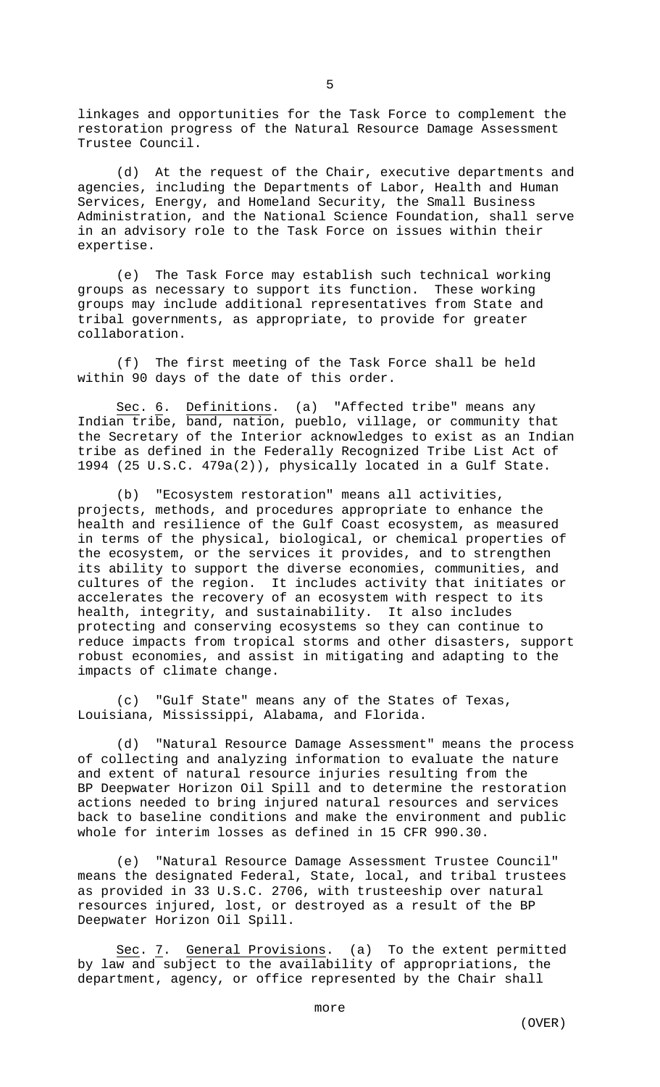linkages and opportunities for the Task Force to complement the restoration progress of the Natural Resource Damage Assessment Trustee Council.

(d) At the request of the Chair, executive departments and agencies, including the Departments of Labor, Health and Human Services, Energy, and Homeland Security, the Small Business Administration, and the National Science Foundation, shall serve in an advisory role to the Task Force on issues within their expertise.

(e) The Task Force may establish such technical working groups as necessary to support its function. These working groups may include additional representatives from State and tribal governments, as appropriate, to provide for greater collaboration.

(f) The first meeting of the Task Force shall be held within 90 days of the date of this order.

Sec. 6. Definitions. (a) "Affected tribe" means any Indian tribe, band, nation, pueblo, village, or community that the Secretary of the Interior acknowledges to exist as an Indian tribe as defined in the Federally Recognized Tribe List Act of 1994 (25 U.S.C. 479a(2)), physically located in a Gulf State.

(b) "Ecosystem restoration" means all activities, projects, methods, and procedures appropriate to enhance the health and resilience of the Gulf Coast ecosystem, as measured in terms of the physical, biological, or chemical properties of the ecosystem, or the services it provides, and to strengthen its ability to support the diverse economies, communities, and cultures of the region. It includes activity that initiates or accelerates the recovery of an ecosystem with respect to its health, integrity, and sustainability. It also includes protecting and conserving ecosystems so they can continue to reduce impacts from tropical storms and other disasters, support robust economies, and assist in mitigating and adapting to the impacts of climate change.

(c) "Gulf State" means any of the States of Texas, Louisiana, Mississippi, Alabama, and Florida.

(d) "Natural Resource Damage Assessment" means the process of collecting and analyzing information to evaluate the nature and extent of natural resource injuries resulting from the BP Deepwater Horizon Oil Spill and to determine the restoration actions needed to bring injured natural resources and services back to baseline conditions and make the environment and public whole for interim losses as defined in 15 CFR 990.30.

(e) "Natural Resource Damage Assessment Trustee Council" means the designated Federal, State, local, and tribal trustees as provided in 33 U.S.C. 2706, with trusteeship over natural resources injured, lost, or destroyed as a result of the BP Deepwater Horizon Oil Spill.

Sec. 7. General Provisions. (a) To the extent permitted by law and subject to the availability of appropriations, the department, agency, or office represented by the Chair shall